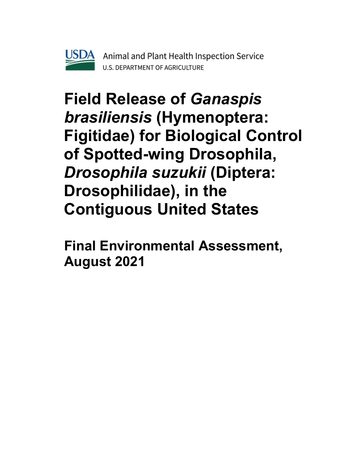

# **Field Release of** *Ganaspis brasiliensis* **(Hymenoptera: Figitidae) for Biological Control of Spotted-wing Drosophila,** *Drosophila suzukii* **(Diptera: Drosophilidae), in the Contiguous United States**

**Final Environmental Assessment, August 2021**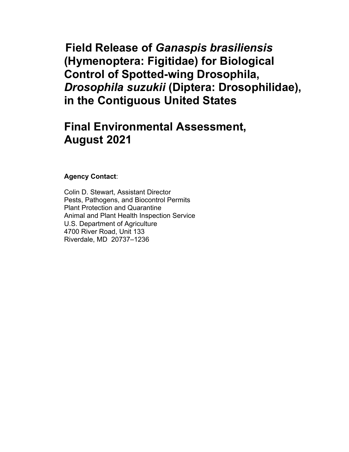**Field Release of** *Ganaspis brasiliensis* **(Hymenoptera: Figitidae) for Biological Control of Spotted-wing Drosophila,** *Drosophila suzukii* **(Diptera: Drosophilidae), in the Contiguous United States**

# **Final Environmental Assessment, August 2021**

### **Agency Contact**:

Colin D. Stewart, Assistant Director Pests, Pathogens, and Biocontrol Permits Plant Protection and Quarantine Animal and Plant Health Inspection Service U.S. Department of Agriculture 4700 River Road, Unit 133 Riverdale, MD 20737–1236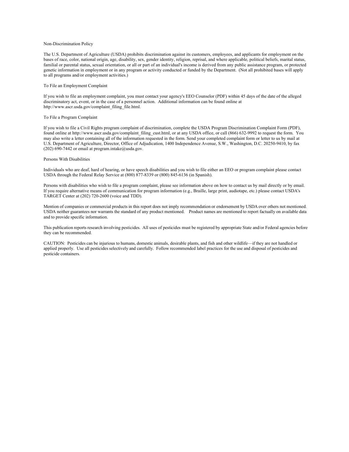#### Non-Discrimination Policy

The U.S. Department of Agriculture (USDA) prohibits discrimination against its customers, employees, and applicants for employment on the bases of race, color, national origin, age, disability, sex, gender identity, religion, reprisal, and where applicable, political beliefs, marital status, familial or parental status, sexual orientation, or all or part of an individual's income is derived from any public assistance program, or protected genetic information in employment or in any program or activity conducted or funded by the Department. (Not all prohibited bases will apply to all programs and/or employment activities.)

#### To File an Employment Complaint

If you wish to file an employment complaint, you must contact your agency's EEO Counselor (PDF) within 45 days of the date of the alleged discriminatory act, event, or in the case of a personnel action. Additional information can be found online at http://www.ascr.usda.gov/complaint\_filing\_file.html.

#### To File a Program Complaint

If you wish to file a Civil Rights program complaint of discrimination, complete the USDA Program Discrimination Complaint Form (PDF), found online at http://www.ascr.usda.gov/complaint\_filing\_cust.html, or at any USDA office, or call (866) 632-9992 to request the form. You may also write a letter containing all of the information requested in the form. Send your completed complaint form or letter to us by mail at U.S. Department of Agriculture, Director, Office of Adjudication, 1400 Independence Avenue, S.W., Washington, D.C. 20250-9410, by fax (202) 690-7442 or email at program.intake@usda.gov.

#### Persons With Disabilities

Individuals who are deaf, hard of hearing, or have speech disabilities and you wish to file either an EEO or program complaint please contact USDA through the Federal Relay Service at (800) 877-8339 or (800) 845-6136 (in Spanish).

Persons with disabilities who wish to file a program complaint, please see information above on how to contact us by mail directly or by email. If you require alternative means of communication for program information (e.g., Braille, large print, audiotape, etc.) please contact USDA's TARGET Center at (202) 720-2600 (voice and TDD).

Mention of companies or commercial products in this report does not imply recommendation or endorsement by USDA over others not mentioned. USDA neither guarantees nor warrants the standard of any product mentioned. Product names are mentioned to report factually on available data and to provide specific information.

This publication reports research involving pesticides. All uses of pesticides must be registered by appropriate State and/or Federal agencies before they can be recommended.

CAUTION: Pesticides can be injurious to humans, domestic animals, desirable plants, and fish and other wildlife—if they are not handled or applied properly. Use all pesticides selectively and carefully. Follow recommended label practices for the use and disposal of pesticides and pesticide containers.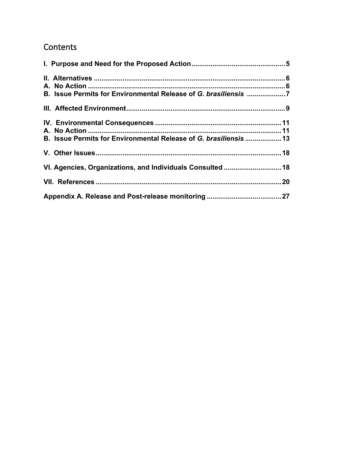### **Contents**

| B. Issue Permits for Environmental Release of G. brasiliensis 7  |  |
|------------------------------------------------------------------|--|
|                                                                  |  |
|                                                                  |  |
|                                                                  |  |
| B. Issue Permits for Environmental Release of G. brasiliensis 13 |  |
|                                                                  |  |
| VI. Agencies, Organizations, and Individuals Consulted  18       |  |
|                                                                  |  |
|                                                                  |  |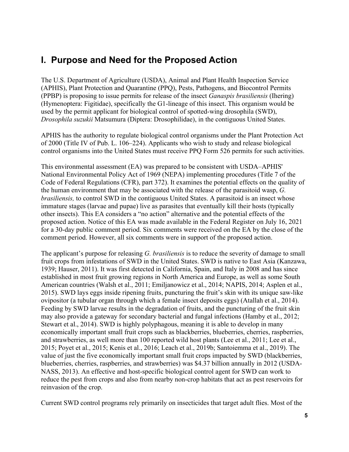### <span id="page-4-0"></span>**I. Purpose and Need for the Proposed Action**

The U.S. Department of Agriculture (USDA), Animal and Plant Health Inspection Service (APHIS), Plant Protection and Quarantine (PPQ), Pests, Pathogens, and Biocontrol Permits (PPBP) is proposing to issue permits for release of the insect *Ganaspis brasiliensis* (Ihering) (Hymenoptera: Figitidae), specifically the G1-lineage of this insect. This organism would be used by the permit applicant for biological control of spotted-wing drosophila (SWD), *Drosophila suzukii* Matsumura (Diptera: Drosophilidae), in the contiguous United States.

APHIS has the authority to regulate biological control organisms under the Plant Protection Act of 2000 (Title IV of Pub. L. 106–224). Applicants who wish to study and release biological control organisms into the United States must receive PPQ Form 526 permits for such activities.

This environmental assessment (EA) was prepared to be consistent with USDA–APHIS' National Environmental Policy Act of 1969 (NEPA) implementing procedures (Title 7 of the Code of Federal Regulations (CFR), part 372). It examines the potential effects on the quality of the human environment that may be associated with the release of the parasitoid wasp, *G. brasiliensis,* to control SWD in the contiguous United States. A parasitoid is an insect whose immature stages (larvae and pupae) live as parasites that eventually kill their hosts (typically other insects). This EA considers a "no action" alternative and the potential effects of the proposed action. Notice of this EA was made available in the Federal Register on July 16, 2021 for a 30-day public comment period. Six comments were received on the EA by the close of the comment period. However, all six comments were in support of the proposed action.

The applicant's purpose for releasing *G. brasiliensis* is to reduce the severity of damage to small fruit crops from infestations of SWD in the United States. SWD is native to East Asia (Kanzawa, 1939; Hauser, 2011). It was first detected in California, Spain, and Italy in 2008 and has since established in most fruit growing regions in North America and Europe, as well as some South American countries (Walsh et al., 2011; Emiljanowicz et al., 2014; NAPIS, 2014; Asplen et al., 2015). SWD lays eggs inside ripening fruits, puncturing the fruit's skin with its unique saw-like ovipositor (a tubular organ through which a female insect deposits eggs) (Atallah et al., 2014). Feeding by SWD larvae results in the degradation of fruits, and the puncturing of the fruit skin may also provide a gateway for secondary bacterial and fungal infections (Hamby et al., 2012; Stewart et al., 2014). SWD is highly polyphagous, meaning it is able to develop in many economically important small fruit crops such as blackberries, blueberries, cherries, raspberries, and strawberries, as well more than 100 reported wild host plants (Lee et al., 2011; Lee et al., 2015; Poyet et al., 2015; Kenis et al., 2016; Leach et al., 2019b; Santoiemma et al., 2019). The value of just the five economically important small fruit crops impacted by SWD (blackberries, blueberries, cherries, raspberries, and strawberries) was \$4.37 billion annually in 2012 (USDA-NASS, 2013). An effective and host-specific biological control agent for SWD can work to reduce the pest from crops and also from nearby non-crop habitats that act as pest reservoirs for reinvasion of the crop.

Current SWD control programs rely primarily on insecticides that target adult flies. Most of the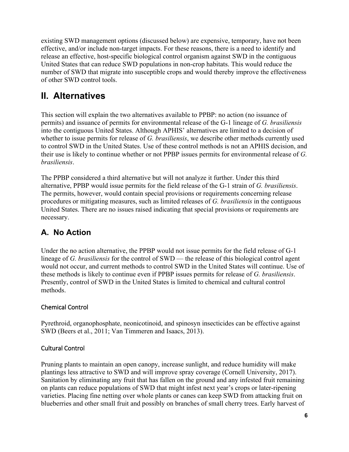existing SWD management options (discussed below) are expensive, temporary, have not been effective, and/or include non-target impacts. For these reasons, there is a need to identify and release an effective, host-specific biological control organism against SWD in the contiguous United States that can reduce SWD populations in non-crop habitats. This would reduce the number of SWD that migrate into susceptible crops and would thereby improve the effectiveness of other SWD control tools.

# <span id="page-5-0"></span>**II. Alternatives**

This section will explain the two alternatives available to PPBP: no action (no issuance of permits) and issuance of permits for environmental release of the G-1 lineage of *G. brasiliensis* into the contiguous United States. Although APHIS' alternatives are limited to a decision of whether to issue permits for release of *G. brasiliensis*, we describe other methods currently used to control SWD in the United States. Use of these control methods is not an APHIS decision, and their use is likely to continue whether or not PPBP issues permits for environmental release of *G. brasiliensis*.

The PPBP considered a third alternative but will not analyze it further. Under this third alternative, PPBP would issue permits for the field release of the G-1 strain of *G. brasiliensis*. The permits, however, would contain special provisions or requirements concerning release procedures or mitigating measures, such as limited releases of *G. brasiliensis* in the contiguous United States. There are no issues raised indicating that special provisions or requirements are necessary.

### <span id="page-5-1"></span>**A. No Action**

Under the no action alternative, the PPBP would not issue permits for the field release of G-1 lineage of *G. brasiliensis* for the control of SWD — the release of this biological control agent would not occur, and current methods to control SWD in the United States will continue. Use of these methods is likely to continue even if PPBP issues permits for release of *G. brasiliensis*. Presently, control of SWD in the United States is limited to chemical and cultural control methods.

### Chemical Control

Pyrethroid, organophosphate, neonicotinoid, and spinosyn insecticides can be effective against SWD (Beers et al., 2011; Van Timmeren and Isaacs, 2013).

### Cultural Control

Pruning plants to maintain an open canopy, increase sunlight, and reduce humidity will make plantings less attractive to SWD and will improve spray coverage (Cornell University, 2017). Sanitation by eliminating any fruit that has fallen on the ground and any infested fruit remaining on plants can reduce populations of SWD that might infest next year's crops or later-ripening varieties. Placing fine netting over whole plants or canes can keep SWD from attacking fruit on blueberries and other small fruit and possibly on branches of small cherry trees. Early harvest of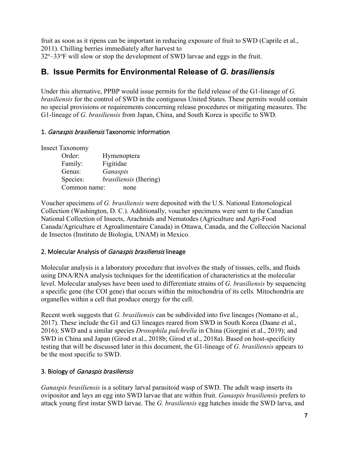fruit as soon as it ripens can be important in reducing exposure of fruit to SWD (Caprile et al., 2011). Chilling berries immediately after harvest to 32°-33°F will slow or stop the development of SWD larvae and eggs in the fruit.

### <span id="page-6-0"></span>**B. Issue Permits for Environmental Release of** *G. brasiliensis*

Under this alternative, PPBP would issue permits for the field release of the G1-lineage of *G. brasiliensis* for the control of SWD in the contiguous United States. These permits would contain no special provisions or requirements concerning release procedures or mitigating measures. The G1-lineage of *G. brasiliensis* from Japan, China, and South Korea is specific to SWD.

### 1. Ganaspis brasiliensis Taxonomic Information

Insect Taxonomy

Order: Hymenoptera Family: Figitidae Genus: *Ganaspis* Species: *brasiliensis* (Ihering) Common name: none

Voucher specimens of *G. brasiliensis* were deposited with the U.S. National Entomological Collection (Washington, D. C.). Additionally, voucher specimens were sent to the Canadian National Collection of Insects, Arachnids and Nematodes (Agriculture and Agri-Food Canada/Agriculture et Agroalimentaire Canada) in Ottawa, Canada, and the Collección Nacional de Insectos (Instituto de Biologia, UNAM) in Mexico.

### 2. Molecular Analysis of Ganaspis brasiliensis lineage

Molecular analysis is a laboratory procedure that involves the study of tissues, cells, and fluids using DNA/RNA analysis techniques for the identification of characteristics at the molecular level. Molecular analyses have been used to differentiate strains of *G. brasiliensis* by sequencing a specific gene (the COI gene) that occurs within the mitochondria of its cells*.* Mitochondria are organelles within a cell that produce energy for the cell.

Recent work suggests that *G. brasiliensis* can be subdivided into five lineages (Nomano et al., 2017). These include the G1 and G3 lineages reared from SWD in South Korea (Daane et al., 2016); SWD and a similar species *Drosophila pulchrella* in China (Giorgini et al., 2019); and SWD in China and Japan (Girod et al., 2018b; Girod et al., 2018a). Based on host-specificity testing that will be discussed later in this document, the G1-lineage of *G. brasiliensis* appears to be the most specific to SWD.

### 3. Biology of Ganaspis brasiliensis

*Ganaspis brasiliensis* is a solitary larval parasitoid wasp of SWD. The adult wasp inserts its ovipositor and lays an egg into SWD larvae that are within fruit. *Ganaspis brasiliensis* prefers to attack young first instar SWD larvae. The *G. brasiliensis* egg hatches inside the SWD larva, and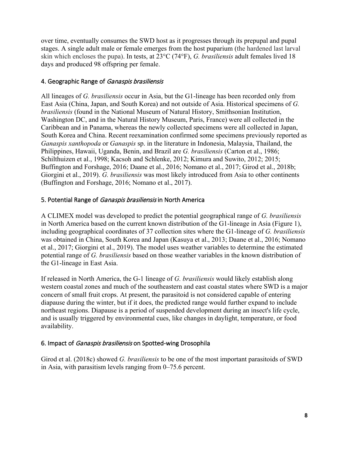over time, eventually consumes the SWD host as it progresses through its prepupal and pupal stages. A single adult male or female emerges from the host puparium (the hardened last larval skin which encloses the pupa). In tests, at 23°C (74°F), *G. brasiliensis* adult females lived 18 days and produced 98 offspring per female.

### 4. Geographic Range of Ganaspis brasiliensis

All lineages of *G. brasiliensis* occur in Asia, but the G1-lineage has been recorded only from East Asia (China, Japan, and South Korea) and not outside of Asia. Historical specimens of *G. brasiliensis* (found in the National Museum of Natural History, Smithsonian Institution, Washington DC, and in the Natural History Museum, Paris, France) were all collected in the Caribbean and in Panama, whereas the newly collected specimens were all collected in Japan, South Korea and China. Recent reexamination confirmed some specimens previously reported as *Ganaspis xanthopoda* or *Ganaspis* sp. in the literature in Indonesia, Malaysia, Thailand, the Philippines, Hawaii, Uganda, Benin, and Brazil are *G. brasiliensis* (Carton et al., 1986; Schilthuizen et al., 1998; Kacsoh and Schlenke, 2012; Kimura and Suwito, 2012; 2015; Buffington and Forshage, 2016; Daane et al., 2016; Nomano et al., 2017; Girod et al., 2018b; Giorgini et al., 2019). *G. brasiliensis* was most likely introduced from Asia to other continents (Buffington and Forshage, 2016; Nomano et al., 2017).

### 5. Potential Range of *Ganaspis brasiliensis* in North America

A CLIMEX model was developed to predict the potential geographical range of *G. brasiliensis*  in North America based on the current known distribution of the G1-lineage in Asia (Figure 1), including geographical coordinates of 37 collection sites where the G1-lineage of *G. brasiliensis* was obtained in China, South Korea and Japan (Kasuya et al., 2013; Daane et al., 2016; Nomano et al., 2017; Giorgini et al., 2019). The model uses weather variables to determine the estimated potential range of *G. brasiliensis* based on those weather variables in the known distribution of the G1-lineage in East Asia.

If released in North America, the G-1 lineage of *G. brasiliensis* would likely establish along western coastal zones and much of the southeastern and east coastal states where SWD is a major concern of small fruit crops. At present, the parasitoid is not considered capable of entering diapause during the winter, but if it does, the predicted range would further expand to include northeast regions. Diapause is a period of suspended development during an insect's life cycle, and is usually triggered by environmental cues, like changes in daylight, temperature, or food availability.

### 6. Impact of Ganaspis brasiliensis on Spotted-wing Drosophila

Girod et al. (2018c) showed *G. brasiliensis* to be one of the most important parasitoids of SWD in Asia, with parasitism levels ranging from 0–75.6 percent.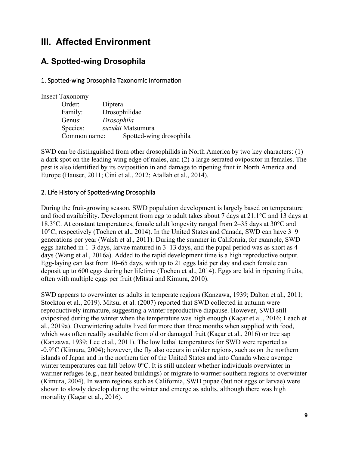### <span id="page-8-0"></span>**III. Affected Environment**

### **A. Spotted-wing Drosophila**

### 1. Spotted-wing Drosophila Taxonomic Information

| <b>Insect Taxonomy</b> |                         |
|------------------------|-------------------------|
| Order:                 | Diptera                 |
| Family:                | Drosophilidae           |
| Genus:                 | Drosophila              |
| Species:               | suzukii Matsumura       |
| Common name:           | Spotted-wing drosophila |

SWD can be distinguished from other drosophilids in North America by two key characters: (1) a dark spot on the leading wing edge of males, and (2) a large serrated ovipositor in females. The pest is also identified by its oviposition in and damage to ripening fruit in North America and Europe (Hauser, 2011; Cini et al., 2012; Atallah et al., 2014).

### 2. Life History of Spotted-wing Drosophila

During the fruit-growing season, SWD population development is largely based on temperature and food availability. Development from egg to adult takes about 7 days at 21.1°C and 13 days at 18.3°C. At constant temperatures, female adult longevity ranged from 2–35 days at 30°C and 10°C, respectively (Tochen et al., 2014). In the United States and Canada, SWD can have 3–9 generations per year (Walsh et al., 2011). During the summer in California, for example, SWD eggs hatched in 1–3 days, larvae matured in 3–13 days, and the pupal period was as short as 4 days (Wang et al., 2016a). Added to the rapid development time is a high reproductive output. Egg-laying can last from 10–65 days, with up to 21 eggs laid per day and each female can deposit up to 600 eggs during her lifetime (Tochen et al., 2014). Eggs are laid in ripening fruits, often with multiple eggs per fruit (Mitsui and Kimura, 2010).

SWD appears to overwinter as adults in temperate regions (Kanzawa, 1939; Dalton et al., 2011; Stockton et al., 2019). Mitsui et al. (2007) reported that SWD collected in autumn were reproductively immature, suggesting a winter reproductive diapause. However, SWD still oviposited during the winter when the temperature was high enough (Kaçar et al., 2016; Leach et al., 2019a). Overwintering adults lived for more than three months when supplied with food, which was often readily available from old or damaged fruit (Kaçar et al., 2016) or tree sap (Kanzawa, 1939; Lee et al., 2011). The low lethal temperatures for SWD were reported as -0.9°C (Kimura, 2004); however, the fly also occurs in colder regions, such as on the northern islands of Japan and in the northern tier of the United States and into Canada where average winter temperatures can fall below 0°C. It is still unclear whether individuals overwinter in warmer refuges (e.g., near heated buildings) or migrate to warmer southern regions to overwinter (Kimura, 2004). In warm regions such as California, SWD pupae (but not eggs or larvae) were shown to slowly develop during the winter and emerge as adults, although there was high mortality (Kaçar et al., 2016).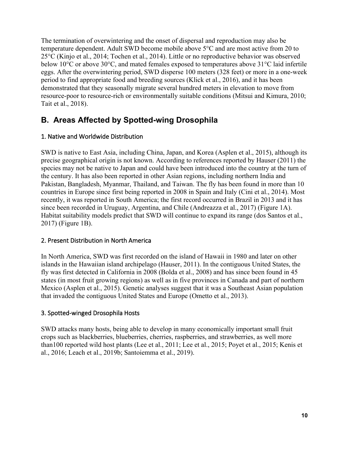The termination of overwintering and the onset of dispersal and reproduction may also be temperature dependent. Adult SWD become mobile above 5°C and are most active from 20 to 25°C (Kinjo et al., 2014; Tochen et al., 2014). Little or no reproductive behavior was observed below 10°C or above 30°C, and mated females exposed to temperatures above 31°C laid infertile eggs. After the overwintering period, SWD disperse 100 meters (328 feet) or more in a one-week period to find appropriate food and breeding sources (Klick et al., 2016), and it has been demonstrated that they seasonally migrate several hundred meters in elevation to move from resource-poor to resource-rich or environmentally suitable conditions (Mitsui and Kimura, 2010; Tait et al., 2018).

### **B. Areas Affected by Spotted-wing Drosophila**

### 1. Native and Worldwide Distribution

SWD is native to East Asia, including China, Japan, and Korea (Asplen et al., 2015), although its precise geographical origin is not known. According to references reported by Hauser (2011) the species may not be native to Japan and could have been introduced into the country at the turn of the century. It has also been reported in other Asian regions, including northern India and Pakistan, Bangladesh, Myanmar, Thailand, and Taiwan. The fly has been found in more than 10 countries in Europe since first being reported in 2008 in Spain and Italy (Cini et al., 2014). Most recently, it was reported in South America; the first record occurred in Brazil in 2013 and it has since been recorded in Uruguay, Argentina, and Chile (Andreazza et al., 2017) (Figure 1A). Habitat suitability models predict that SWD will continue to expand its range (dos Santos et al., 2017) (Figure 1B).

### 2. Present Distribution in North America

In North America, SWD was first recorded on the island of Hawaii in 1980 and later on other islands in the Hawaiian island archipelago (Hauser, 2011). In the contiguous United States, the fly was first detected in California in 2008 (Bolda et al., 2008) and has since been found in 45 states (in most fruit growing regions) as well as in five provinces in Canada and part of northern Mexico (Asplen et al., 2015). Genetic analyses suggest that it was a Southeast Asian population that invaded the contiguous United States and Europe (Ometto et al., 2013).

### 3. Spotted-winged Drosophila Hosts

SWD attacks many hosts, being able to develop in many economically important small fruit crops such as blackberries, blueberries, cherries, raspberries, and strawberries, as well more than100 reported wild host plants (Lee et al., 2011; Lee et al., 2015; Poyet et al., 2015; Kenis et al., 2016; Leach et al., 2019b; Santoiemma et al., 2019).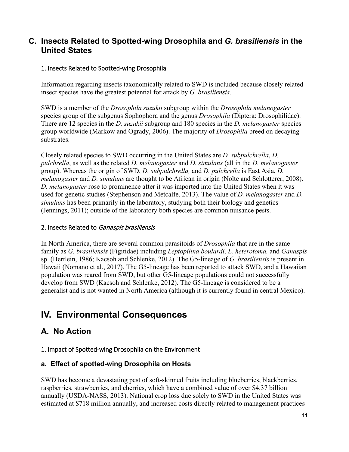### **C. Insects Related to Spotted-wing Drosophila and** *G. brasiliensis* **in the United States**

### 1. Insects Related to Spotted-wing Drosophila

Information regarding insects taxonomically related to SWD is included because closely related insect species have the greatest potential for attack by *G. brasiliensis*.

SWD is a member of the *Drosophila suzukii* subgroup within the *Drosophila melanogaster*  species group of the subgenus Sophophora and the genus *Drosophila* (Diptera: Drosophilidae). There are 12 species in the *D. suzukii* subgroup and 180 species in the *D. melanogaster* species group worldwide (Markow and Ogrady, 2006). The majority of *Drosophila* breed on decaying substrates.

Closely related species to SWD occurring in the United States are *D. subpulchrella*, *D. pulchrella*, as well as the related *D. melanogaster* and *D. simulans* (all in the *D. melanogaster* group). Whereas the origin of SWD, *D. subpulchrella,* and *D. pulchrella* is East Asia, *D. melanogaster* and *D. simulans* are thought to be African in origin (Nolte and Schlotterer, 2008). *D. melanogaster* rose to prominence after it was imported into the United States when it was used for genetic studies (Stephenson and Metcalfe, 2013). The value of *D. melanogaster* and *D. simulans* has been primarily in the laboratory, studying both their biology and genetics (Jennings, 2011); outside of the laboratory both species are common nuisance pests.

### 2. Insects Related to Ganaspis brasiliensis

In North America, there are several common parasitoids of *Drosophila* that are in the same family as *G. brasiliensis* (Figitidae) including *Leptopilina boulardi*, *L. heterotoma,* and *Ganaspis*  sp. (Hertlein, 1986; Kacsoh and Schlenke, 2012). The G5-lineage of *G. brasiliensis* is present in Hawaii (Nomano et al., 2017). The G5-lineage has been reported to attack SWD, and a Hawaiian population was reared from SWD, but other G5-lineage populations could not successfully develop from SWD (Kacsoh and Schlenke, 2012). The G5-lineage is considered to be a generalist and is not wanted in North America (although it is currently found in central Mexico).

### <span id="page-10-0"></span>**IV. Environmental Consequences**

### <span id="page-10-1"></span>**A. No Action**

### 1. Impact of Spotted-wing Drosophila on the Environment

### **a. Effect of spotted-wing Drosophila on Hosts**

SWD has become a devastating pest of soft-skinned fruits including blueberries, blackberries, raspberries, strawberries, and cherries, which have a combined value of over \$4.37 billion annually (USDA-NASS, 2013). National crop loss due solely to SWD in the United States was estimated at \$718 million annually, and increased costs directly related to management practices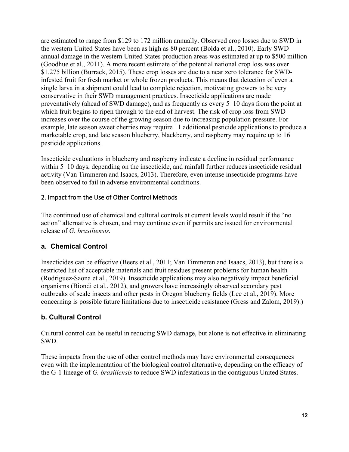are estimated to range from \$129 to 172 million annually. Observed crop losses due to SWD in the western United States have been as high as 80 percent (Bolda et al., 2010). Early SWD annual damage in the western United States production areas was estimated at up to \$500 million (Goodhue et al., 2011). A more recent estimate of the potential national crop loss was over \$1.275 billion (Burrack, 2015). These crop losses are due to a near zero tolerance for SWDinfested fruit for fresh market or whole frozen products. This means that detection of even a single larva in a shipment could lead to complete rejection, motivating growers to be very conservative in their SWD management practices. Insecticide applications are made preventatively (ahead of SWD damage), and as frequently as every 5–10 days from the point at which fruit begins to ripen through to the end of harvest. The risk of crop loss from SWD increases over the course of the growing season due to increasing population pressure. For example, late season sweet cherries may require 11 additional pesticide applications to produce a marketable crop, and late season blueberry, blackberry, and raspberry may require up to 16 pesticide applications.

Insecticide evaluations in blueberry and raspberry indicate a decline in residual performance within 5–10 days, depending on the insecticide, and rainfall further reduces insecticide residual activity (Van Timmeren and Isaacs, 2013). Therefore, even intense insecticide programs have been observed to fail in adverse environmental conditions.

### 2. Impact from the Use of Other Control Methods

The continued use of chemical and cultural controls at current levels would result if the "no action" alternative is chosen, and may continue even if permits are issued for environmental release of *G. brasiliensis.*

### **a. Chemical Control**

Insecticides can be effective (Beers et al., 2011; Van Timmeren and Isaacs, 2013), but there is a restricted list of acceptable materials and fruit residues present problems for human health (Rodriguez-Saona et al., 2019). Insecticide applications may also negatively impact beneficial organisms (Biondi et al., 2012), and growers have increasingly observed secondary pest outbreaks of scale insects and other pests in Oregon blueberry fields (Lee et al., 2019). More concerning is possible future limitations due to insecticide resistance (Gress and Zalom, 2019).)

### **b. Cultural Control**

Cultural control can be useful in reducing SWD damage, but alone is not effective in eliminating SWD.

These impacts from the use of other control methods may have environmental consequences even with the implementation of the biological control alternative, depending on the efficacy of the G-1 lineage of *G. brasiliensis* to reduce SWD infestations in the contiguous United States.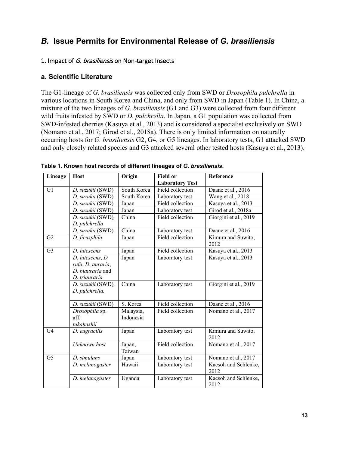### <span id="page-12-0"></span>*B.* **Issue Permits for Environmental Release of** *G. brasiliensis*

#### 1. Impact of G. brasiliensis on Non-target Insects

#### **a. Scientific Literature**

The G1-lineage of *G. brasiliensis* was collected only from SWD or *Drosophila pulchrella* in various locations in South Korea and China, and only from SWD in Japan (Table 1). In China, a mixture of the two lineages of *G. brasiliensis* (G1 and G3) were collected from four different wild fruits infested by SWD or *D. pulchrella*. In Japan, a G1 population was collected from SWD-infested cherries (Kasuya et al., 2013) and is considered a specialist exclusively on SWD (Nomano et al., 2017; Girod et al., 2018a). There is only limited information on naturally occurring hosts for *G. brasiliensis* G2, G4, or G5 lineages. In laboratory tests, G1 attacked SWD and only closely related species and G3 attacked several other tested hosts (Kasuya et al., 2013).

| Lineage        | <b>Host</b>       | Origin      | <b>Field or</b>        | Reference                    |
|----------------|-------------------|-------------|------------------------|------------------------------|
|                |                   |             | <b>Laboratory Test</b> |                              |
| G1             | D. suzukii (SWD)  | South Korea | Field collection       | Daane et al., 2016           |
|                | D. suzukii (SWD)  | South Korea | Laboratory test        | Wang et al., 2018            |
|                | D. suzukii (SWD)  | Japan       | Field collection       | Kasuya et al., 2013          |
|                | D. suzukii (SWD)  | Japan       | Laboratory test        | Girod et al., 2018a          |
|                | D. suzukii (SWD), | China       | Field collection       | Giorgini et al., 2019        |
|                | D. pulchrella     |             |                        |                              |
|                | D. suzukii (SWD)  | China       | Laboratory test        | Daane et al., 2016           |
| G2             | D. ficusphila     | Japan       | Field collection       | Kimura and Suwito,<br>2012   |
| G <sub>3</sub> | D. lutescens      | Japan       | Field collection       | Kasuya et al., 2013          |
|                | D. lutescens, D.  | Japan       | Laboratory test        | Kasuya et al., 2013          |
|                | rufa, D. auraria, |             |                        |                              |
|                | D. biauraria and  |             |                        |                              |
|                | D. triauraria     |             |                        |                              |
|                | D. suzukii (SWD), | China       | Laboratory test        | Giorgini et al., 2019        |
|                | D. pulchrella,    |             |                        |                              |
|                |                   |             |                        |                              |
|                | D. suzukii (SWD)  | S. Korea    | Field collection       | Daane et al., 2016           |
|                | Drosophila sp.    | Malaysia,   | Field collection       | Nomano et al., 2017          |
|                | aff.              | Indonesia   |                        |                              |
|                | takahashii        |             |                        |                              |
| G <sub>4</sub> | D. eugracilis     | Japan       | Laboratory test        | Kimura and Suwito,<br>2012   |
|                | Unknown host      | Japan,      | Field collection       | Nomano et al., 2017          |
|                |                   | Taiwan      |                        |                              |
| G <sub>5</sub> | D. simulans       | Japan       | Laboratory test        | Nomano et al., 2017          |
|                | D. melanogaster   | Hawaii      | Laboratory test        | Kacsoh and Schlenke,<br>2012 |
|                | D. melanogaster   | Uganda      | Laboratory test        | Kacsoh and Schlenke,<br>2012 |

**Table 1. Known host records of different lineages of** *G. brasiliensis***.**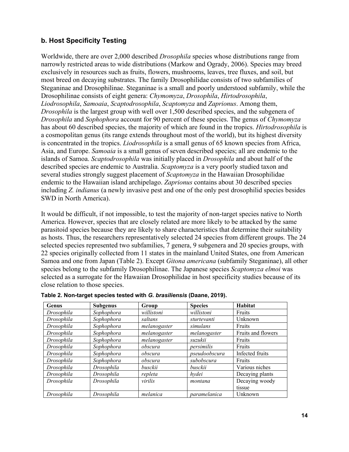### **b. Host Specificity Testing**

Worldwide, there are over 2,000 described *Drosophila* species whose distributions range from narrowly restricted areas to wide distributions (Markow and Ogrady, 2006). Species may breed exclusively in resources such as fruits, flowers, mushrooms, leaves, tree fluxes, and soil, but most breed on decaying substrates. The family Drosophilidae consists of two subfamilies of Steganinae and Drosophilinae. Steganinae is a small and poorly understood subfamily, while the Drosophilinae consists of eight genera: *Chymomyza*, *Drosophila*, *Hirtodrosophila*, *Liodrosophila*, *Samoaia*, *Scaptodrosophila*, *Scaptomyza* and *Zaprionus*. Among them, *Drosophila* is the largest group with well over 1,500 described species, and the subgenera of *Drosophila* and *Sophophora* account for 90 percent of these species. The genus of *Chymomyza*  has about 60 described species, the majority of which are found in the tropics. *Hirtodrosophila* is a cosmopolitan genus (its range extends throughout most of the world), but its highest diversity is concentrated in the tropics. *Liodrosophila* is a small genus of 65 known species from Africa, Asia, and Europe. *Samoaia* is a small genus of seven described species; all are endemic to the islands of Samoa. *Scaptodrosophila* was initially placed in *Drosophila* and about half of the described species are endemic to Australia. *Scaptomyza* is a very poorly studied taxon and several studies strongly suggest placement of *Scaptomyza* in the Hawaiian Drosophilidae endemic to the Hawaiian island archipelago. *Zaprionus* contains about 30 described species including *Z. indianus* (a newly invasive pest and one of the only pest drosophilid species besides SWD in North America).

It would be difficult, if not impossible, to test the majority of non-target species native to North America. However, species that are closely related are more likely to be attacked by the same parasitoid species because they are likely to share characteristics that determine their suitability as hosts. Thus, the researchers representatively selected 24 species from different groups. The 24 selected species represented two subfamilies, 7 genera, 9 subgenera and 20 species groups, with 22 species originally collected from 11 states in the mainland United States, one from American Samoa and one from Japan (Table 2). Except *Gitona americana* (subfamily Steganinae), all other species belong to the subfamily Drosophilinae. The Japanese species *Scaptomyza elmoi* was selected as a surrogate for the Hawaiian Drosophilidae in host specificity studies because of its close relation to those species.

| Genus      | <b>Subgenus</b> | Group        | <b>Species</b> | Habitat            |
|------------|-----------------|--------------|----------------|--------------------|
| Drosophila | Sophophora      | willistoni   | willistoni     | Fruits             |
| Drosophila | Sophophora      | saltans      | sturtevanti    | Unknown            |
| Drosophila | Sophophora      | melanogaster | simulans       | Fruits             |
| Drosophila | Sophophora      | melanogaster | melanogaster   | Fruits and flowers |
| Drosophila | Sophophora      | melanogaster | suzukii        | Fruits             |
| Drosophila | Sophophora      | obscura      | persimilis     | Fruits             |
| Drosophila | Sophophora      | obscura      | pseudoobscura  | Infected fruits    |
| Drosophila | Sophophora      | obscura      | subobscura     | Fruits             |
| Drosophila | Drosophila      | busckii      | busckii        | Various niches     |
| Drosophila | Drosophila      | repleta      | hvdei          | Decaying plants    |
| Drosophila | Drosophila      | virilis      | montana        | Decaying woody     |
|            |                 |              |                | tissue             |
| Drosophila | Drosophila      | melanica     | paramelanica   | Unknown            |

| Table 2. Non-target species tested with G. brasiliensis (Daane, 2019). |  |  |  |  |  |  |  |  |
|------------------------------------------------------------------------|--|--|--|--|--|--|--|--|
|------------------------------------------------------------------------|--|--|--|--|--|--|--|--|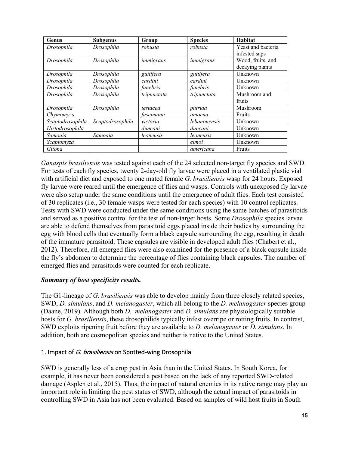| Genus            | <b>Subgenus</b>  | Group       | <b>Species</b> | Habitat            |
|------------------|------------------|-------------|----------------|--------------------|
| Drosophila       | Drosophila       | robusta     | robusta        | Yeast and bacteria |
|                  |                  |             |                | infested saps      |
| Drosophila       | Drosophila       | immigrans   | immigrans      | Wood, fruits, and  |
|                  |                  |             |                | decaying plants    |
| Drosophila       | Drosophila       | guttifera   | guttifera      | Unknown            |
| Drosophila       | Drosophila       | cardini     | cardini        | Unknown            |
| Drosophila       | Drosophila       | funebris    | funebris       | Unknown            |
| Drosophila       | Drosophila       | tripunctata | tripunctata    | Mushroom and       |
|                  |                  |             |                | fruits             |
| Drosophila       | Drosophila       | testacea    | putrida        | Mushroom           |
| Chymomyza        |                  | fuscimana   | amoena         | Fruits             |
| Scaptodrosophila | Scaptodrosophila | victoria    | lebanonensis   | Unknown            |
| Hirtodrosophila  |                  | duncani     | duncani        | Unknown            |
| Samoaia          | Samoaia          | leonensis   | leonensis      | Unknown            |
| Scaptomyza       |                  |             | elmoi          | Unknown            |
| Gitona           |                  |             | americana      | Fruits             |

*Ganaspis brasiliensis* was tested against each of the 24 selected non-target fly species and SWD. For tests of each fly species, twenty 2-day-old fly larvae were placed in a ventilated plastic vial with artificial diet and exposed to one mated female *G. brasiliensis* wasp for 24 hours. Exposed fly larvae were reared until the emergence of flies and wasps. Controls with unexposed fly larvae were also setup under the same conditions until the emergence of adult flies. Each test consisted of 30 replicates (i.e., 30 female wasps were tested for each species) with 10 control replicates. Tests with SWD were conducted under the same conditions using the same batches of parasitoids and served as a positive control for the test of non-target hosts. Some *Drosophila* species larvae are able to defend themselves from parasitoid eggs placed inside their bodies by surrounding the egg with blood cells that eventually form a black capsule surrounding the egg, resulting in death of the immature parasitoid. These capsules are visible in developed adult flies (Chabert et al., 2012). Therefore, all emerged flies were also examined for the presence of a black capsule inside the fly's abdomen to determine the percentage of flies containing black capsules. The number of emerged flies and parasitoids were counted for each replicate.

### *Summary of host specificity results.*

The G1-lineage of *G. brasiliensis* was able to develop mainly from three closely related species, SWD, *D. simulans*, and *D. melanogaster*, which all belong to the *D. melanogaster* species group (Daane, 2019). Although both *D. melanogaster* and *D. simulans* are physiologically suitable hosts for *G. brasiliensis*, these drosophilids typically infest overripe or rotting fruits. In contrast, SWD exploits ripening fruit before they are available to *D. melanogaster* or *D. simulans*. In addition, both are cosmopolitan species and neither is native to the United States.

### 1. Impact of G. brasiliensis on Spotted-wing Drosophila

SWD is generally less of a crop pest in Asia than in the United States. In South Korea, for example, it has never been considered a pest based on the lack of any reported SWD-related damage (Asplen et al., 2015). Thus, the impact of natural enemies in its native range may play an important role in limiting the pest status of SWD, although the actual impact of parasitoids in controlling SWD in Asia has not been evaluated. Based on samples of wild host fruits in South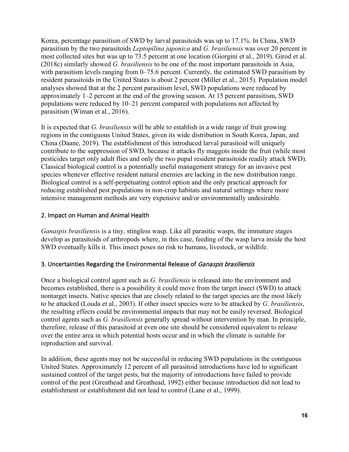Korea, percentage parasitism of SWD by larval parasitoids was up to 17.1%. In China, SWD parasitism by the two parasitoids *Leptopilina japonica* and *G. brasiliensis* was over 20 percent in most collected sites but was up to 73.5 percent at one location (Giorgini et al., 2019). Girod et al. (2018c) similarly showed *G. brasiliensis* to be one of the most important parasitoids in Asia, with parasitism levels ranging from 0–75.6 percent. Currently, the estimated SWD parasitism by resident parasitoids in the United States is about 2 percent (Miller et al., 2015). Population model analyses showed that at the 2 percent parasitism level, SWD populations were reduced by approximately 1–2 percent at the end of the growing season. At 15 percent parasitism, SWD populations were reduced by 10–21 percent compared with populations not affected by parasitism (Wiman et al., 2016).

It is expected that *G. brasiliensis* will be able to establish in a wide range of fruit growing regions in the contiguous United States, given its wide distribution in South Korea, Japan, and China (Daane, 2019). The establishment of this introduced larval parasitoid will uniquely contribute to the suppression of SWD, because it attacks fly maggots inside the fruit (while most pesticides target only adult flies and only the two pupal resident parasitoids readily attack SWD). Classical biological control is a potentially useful management strategy for an invasive pest species whenever effective resident natural enemies are lacking in the new distribution range. Biological control is a self-perpetuating control option and the only practical approach for reducing established pest populations in non-crop habitats and natural settings where more intensive management methods are very expensive and/or environmentally undesirable.

### 2. Impact on Human and Animal Health

*Ganaspis brasiliensis* is a tiny, stingless wasp. Like all parasitic wasps, the immature stages develop as parasitoids of arthropods where, in this case, feeding of the wasp larva inside the host SWD eventually kills it. This insect poses no risk to humans, livestock, or wildlife.

### 3. Uncertainties Regarding the Environmental Release of Ganaspis brasiliensis

Once a biological control agent such as *G. brasiliensis* is released into the environment and becomes established, there is a possibility it could move from the target insect (SWD) to attack nontarget insects. Native species that are closely related to the target species are the most likely to be attacked (Louda et al., 2003). If other insect species were to be attacked by *G. brasiliensis*, the resulting effects could be environmental impacts that may not be easily reversed. Biological control agents such as *G. brasiliensis* generally spread without intervention by man. In principle, therefore, release of this parasitoid at even one site should be considered equivalent to release over the entire area in which potential hosts occur and in which the climate is suitable for reproduction and survival.

In addition, these agents may not be successful in reducing SWD populations in the contiguous United States. Approximately 12 percent of all parasitoid introductions have led to significant sustained control of the target pests, but the majority of introductions have failed to provide control of the pest (Greathead and Greathead, 1992) either because introduction did not lead to establishment or establishment did not lead to control (Lane et al., 1999).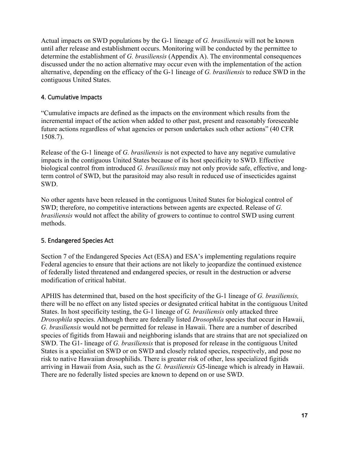Actual impacts on SWD populations by the G-1 lineage of *G. brasiliensis* will not be known until after release and establishment occurs. Monitoring will be conducted by the permittee to determine the establishment of *G. brasiliensis* (Appendix A). The environmental consequences discussed under the no action alternative may occur even with the implementation of the action alternative, depending on the efficacy of the G-1 lineage of *G. brasiliensis* to reduce SWD in the contiguous United States.

### 4. Cumulative Impacts

"Cumulative impacts are defined as the impacts on the environment which results from the incremental impact of the action when added to other past, present and reasonably foreseeable future actions regardless of what agencies or person undertakes such other actions" (40 CFR 1508.7).

Release of the G-1 lineage of *G. brasiliensis* is not expected to have any negative cumulative impacts in the contiguous United States because of its host specificity to SWD. Effective biological control from introduced *G. brasiliensis* may not only provide safe, effective, and longterm control of SWD, but the parasitoid may also result in reduced use of insecticides against SWD.

No other agents have been released in the contiguous United States for biological control of SWD; therefore, no competitive interactions between agents are expected. Release of *G. brasiliensis* would not affect the ability of growers to continue to control SWD using current methods.

### 5. Endangered Species Act

Section 7 of the Endangered Species Act (ESA) and ESA's implementing regulations require Federal agencies to ensure that their actions are not likely to jeopardize the continued existence of federally listed threatened and endangered species, or result in the destruction or adverse modification of critical habitat.

APHIS has determined that, based on the host specificity of the G-1 lineage of *G. brasiliensis,*  there will be no effect on any listed species or designated critical habitat in the contiguous United States. In host specificity testing, the G-1 lineage of *G. brasiliensis* only attacked three *Drosophila* species. Although there are federally listed *Drosophila* species that occur in Hawaii, *G. brasiliensis* would not be permitted for release in Hawaii. There are a number of described species of figitids from Hawaii and neighboring islands that are strains that are not specialized on SWD. The G1- lineage of *G. brasiliensis* that is proposed for release in the contiguous United States is a specialist on SWD or on SWD and closely related species, respectively, and pose no risk to native Hawaiian drosophilids. There is greater risk of other, less specialized figitids arriving in Hawaii from Asia, such as the *G. brasiliensis* G5-lineage which is already in Hawaii. There are no federally listed species are known to depend on or use SWD.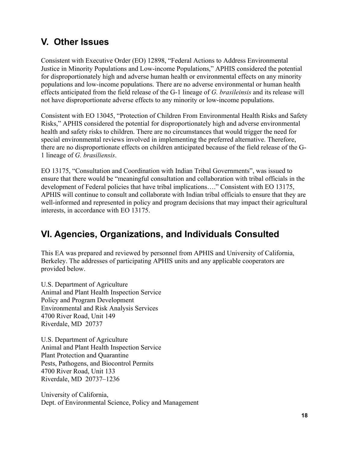# <span id="page-17-0"></span>**V. Other Issues**

Consistent with Executive Order (EO) 12898, "Federal Actions to Address Environmental Justice in Minority Populations and Low-income Populations," APHIS considered the potential for disproportionately high and adverse human health or environmental effects on any minority populations and low-income populations. There are no adverse environmental or human health effects anticipated from the field release of the G-1 lineage of *G. brasileinsis* and its release will not have disproportionate adverse effects to any minority or low-income populations.

Consistent with EO 13045, "Protection of Children From Environmental Health Risks and Safety Risks," APHIS considered the potential for disproportionately high and adverse environmental health and safety risks to children. There are no circumstances that would trigger the need for special environmental reviews involved in implementing the preferred alternative. Therefore, there are no disproportionate effects on children anticipated because of the field release of the G-1 lineage of *G. brasiliensis*.

EO 13175, "Consultation and Coordination with Indian Tribal Governments", was issued to ensure that there would be "meaningful consultation and collaboration with tribal officials in the development of Federal policies that have tribal implications…." Consistent with EO 13175, APHIS will continue to consult and collaborate with Indian tribal officials to ensure that they are well-informed and represented in policy and program decisions that may impact their agricultural interests, in accordance with EO 13175.

# <span id="page-17-1"></span>**VI. Agencies, Organizations, and Individuals Consulted**

This EA was prepared and reviewed by personnel from APHIS and University of California, Berkeley. The addresses of participating APHIS units and any applicable cooperators are provided below.

U.S. Department of Agriculture Animal and Plant Health Inspection Service Policy and Program Development Environmental and Risk Analysis Services 4700 River Road, Unit 149 Riverdale, MD 20737

U.S. Department of Agriculture Animal and Plant Health Inspection Service Plant Protection and Quarantine Pests, Pathogens, and Biocontrol Permits 4700 River Road, Unit 133 Riverdale, MD 20737–1236

University of California, Dept. of Environmental Science, Policy and Management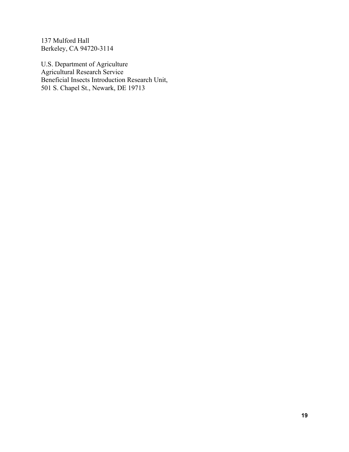137 Mulford Hall Berkeley, CA 94720-3114

U.S. Department of Agriculture Agricultural Research Service Beneficial Insects Introduction Research Unit, 501 S. Chapel St., Newark, DE 19713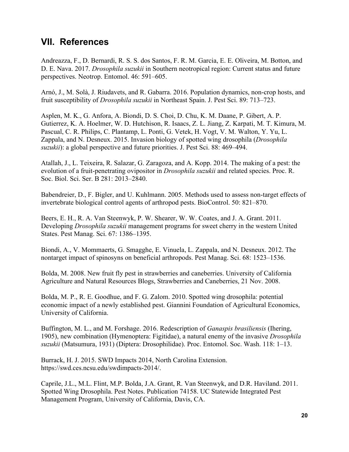### <span id="page-19-0"></span>**VII. References**

Andreazza, F., D. Bernardi, R. S. S. dos Santos, F. R. M. Garcia, E. E. Oliveira, M. Botton, and D. E. Nava. 2017. *Drosophila suzukii* in Southern neotropical region: Current status and future perspectives. Neotrop. Entomol. 46: 591–605.

Arnó, J., M. Solà, J. Riudavets, and R. Gabarra. 2016. Population dynamics, non-crop hosts, and fruit susceptibility of *Drosophila suzukii* in Northeast Spain. J. Pest Sci. 89: 713–723.

Asplen, M. K., G. Anfora, A. Biondi, D. S. Choi, D. Chu, K. M. Daane, P. Gibert, A. P. Gutierrez, K. A. Hoelmer, W. D. Hutchison, R. Isaacs, Z. L. Jiang, Z. Karpati, M. T. Kimura, M. Pascual, C. R. Philips, C. Plantamp, L. Ponti, G. Vetek, H. Vogt, V. M. Walton, Y. Yu, L. Zappala, and N. Desneux. 2015. Invasion biology of spotted wing drosophila (*Drosophila suzukii*): a global perspective and future priorities. J. Pest Sci. 88: 469–494.

Atallah, J., L. Teixeira, R. Salazar, G. Zaragoza, and A. Kopp. 2014. The making of a pest: the evolution of a fruit-penetrating ovipositor in *Drosophila suzukii* and related species. Proc. R. Soc. Biol. Sci. Ser. B 281: 2013–2840.

Babendreier, D., F. Bigler, and U. Kuhlmann. 2005. Methods used to assess non-target effects of invertebrate biological control agents of arthropod pests. BioControl. 50: 821–870.

Beers, E. H., R. A. Van Steenwyk, P. W. Shearer, W. W. Coates, and J. A. Grant. 2011. Developing *Drosophila suzukii* management programs for sweet cherry in the western United States. Pest Manag. Sci. 67: 1386–1395.

Biondi, A., V. Mommaerts, G. Smagghe, E. Vinuela, L. Zappala, and N. Desneux. 2012. The nontarget impact of spinosyns on beneficial arthropods. Pest Manag. Sci. 68: 1523–1536.

Bolda, M. 2008. New fruit fly pest in strawberries and caneberries. University of California Agriculture and Natural Resources Blogs, Strawberries and Caneberries, 21 Nov. 2008.

Bolda, M. P., R. E. Goodhue, and F. G. Zalom. 2010. Spotted wing drosophila: potential economic impact of a newly established pest. Giannini Foundation of Agricultural Economics, University of California.

Buffington, M. L., and M. Forshage. 2016. Redescription of *Ganaspis brasiliensis* (Ihering, 1905), new combination (Hymenoptera: Figitidae), a natural enemy of the invasive *Drosophila suzukii* (Matsumura, 1931) (Diptera: Drosophilidae). Proc. Entomol. Soc. Wash. 118: 1–13.

Burrack, H. J. 2015. SWD Impacts 2014, North Carolina Extension. https://swd.ces.ncsu.edu/swdimpacts-2014/.

Caprile, J.L., M.L. Flint, M.P. Bolda, J.A. Grant, R. Van Steenwyk, and D.R. Haviland. 2011. Spotted Wing Drosophila. Pest Notes. Publication 74158. UC Statewide Integrated Pest Management Program, University of California, Davis, CA.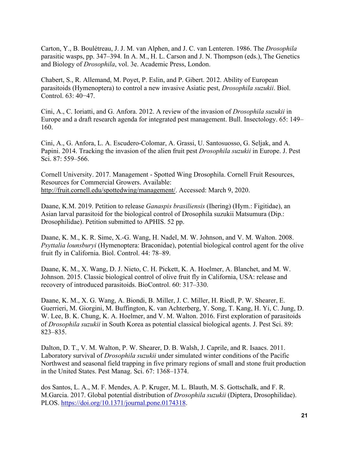Carton, Y., B. Boulétreau, J. J. M. van Alphen, and J. C. van Lenteren. 1986. The *Drosophila*  parasitic wasps, pp. 347–394. In A. M., H. L. Carson and J. N. Thompson (eds.), The Genetics and Biology of *Drosophila*, vol. 3e. Academic Press, London.

Chabert, S., R. Allemand, M. Poyet, P. Eslin, and P. Gibert. 2012. Ability of European parasitoids (Hymenoptera) to control a new invasive Asiatic pest, *Drosophila suzukii*. Biol. Control. 63: 40−47.

Cini, A., C. Ioriatti, and G. Anfora. 2012. A review of the invasion of *Drosophila suzukii* in Europe and a draft research agenda for integrated pest management. Bull. Insectology. 65: 149– 160.

Cini, A., G. Anfora, L. A. Escudero-Colomar, A. Grassi, U. Santosuosso, G. Seljak, and A. Papini. 2014. Tracking the invasion of the alien fruit pest *Drosophila suzukii* in Europe. J. Pest Sci. 87: 559–566.

Cornell University. 2017. Management - Spotted Wing Drosophila. Cornell Fruit Resources, Resources for Commercial Growers. Available: [http://fruit.cornell.edu/spottedwing/management/.](http://fruit.cornell.edu/spottedwing/management/) Accessed: March 9, 2020.

Daane, K.M. 2019. Petition to release *Ganaspis brasiliensis* (Ihering) (Hym.: Figitidae), an Asian larval parasitoid for the biological control of Drosophila suzukii Matsumura (Dip.: Drosophilidae). Petition submitted to APHIS. 52 pp.

Daane, K. M., K. R. Sime, X.-G. Wang, H. Nadel, M. W. Johnson, and V. M. Walton. 2008. *Psyttalia lounsburyi* (Hymenoptera: Braconidae), potential biological control agent for the olive fruit fly in California. Biol. Control. 44: 78–89.

Daane, K. M., X. Wang, D. J. Nieto, C. H. Pickett, K. A. Hoelmer, A. Blanchet, and M. W. Johnson. 2015. Classic biological control of olive fruit fly in California, USA: release and recovery of introduced parasitoids. BioControl. 60: 317–330.

Daane, K. M., X. G. Wang, A. Biondi, B. Miller, J. C. Miller, H. Riedl, P. W. Shearer, E. Guerrieri, M. Giorgini, M. Buffington, K. van Achterberg, Y. Song, T. Kang, H. Yi, C. Jung, D. W. Lee, B. K. Chung, K. A. Hoelmer, and V. M. Walton. 2016. First exploration of parasitoids of *Drosophila suzukii* in South Korea as potential classical biological agents. J. Pest Sci. 89: 823–835.

Dalton, D. T., V. M. Walton, P. W. Shearer, D. B. Walsh, J. Caprile, and R. Isaacs. 2011. Laboratory survival of *Drosophila suzukii* under simulated winter conditions of the Pacific Northwest and seasonal field trapping in five primary regions of small and stone fruit production in the United States. Pest Manag. Sci. 67: 1368–1374.

dos Santos, L. A., M. F. Mendes, A. P. Kruger, M. L. Blauth, M. S. Gottschalk, and F. R. M.Garcia. 2017. Global potential distribution of *Drosophila suzukii* (Diptera, Drosophilidae). PLOS. [https://doi.org/10.1371/journal.pone.0174318.](https://doi.org/10.1371/journal.pone.0174318)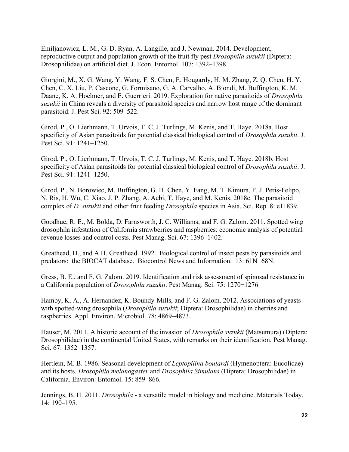Emiljanowicz, L. M., G. D. Ryan, A. Langille, and J. Newman. 2014. Development, reproductive output and population growth of the fruit fly pest *Drosophila suzukii* (Diptera: Drosophilidae) on artificial diet. J. Econ. Entomol. 107: 1392–1398.

Giorgini, M., X. G. Wang, Y. Wang, F. S. Chen, E. Hougardy, H. M. Zhang, Z. Q. Chen, H. Y. Chen, C. X. Liu, P. Cascone, G. Formisano, G. A. Carvalho, A. Biondi, M. Buffington, K. M. Daane, K. A. Hoelmer, and E. Guerrieri. 2019. Exploration for native parasitoids of *Drosophila suzukii* in China reveals a diversity of parasitoid species and narrow host range of the dominant parasitoid. J. Pest Sci. 92: 509–522.

Girod, P., O. Lierhmann, T. Urvois, T. C. J. Turlings, M. Kenis, and T. Haye. 2018a. Host specificity of Asian parasitoids for potential classical biological control of *Drosophila suzukii*. J. Pest Sci. 91: 1241–1250.

Girod, P., O. Lierhmann, T. Urvois, T. C. J. Turlings, M. Kenis, and T. Haye. 2018b. Host specificity of Asian parasitoids for potential classical biological control of *Drosophila suzukii*. J. Pest Sci. 91: 1241–1250.

Girod, P., N. Borowiec, M. Buffington, G. H. Chen, Y. Fang, M. T. Kimura, F. J. Peris-Felipo, N. Ris, H. Wu, C. Xiao, J. P. Zhang, A. Aebi, T. Haye, and M. Kenis. 2018c. The parasitoid complex of *D. suzukii* and other fruit feeding *Drosophila* species in Asia. Sci. Rep. 8: e11839.

Goodhue, R. E., M. Bolda, D. Farnsworth, J. C. Williams, and F. G. Zalom. 2011. Spotted wing drosophila infestation of California strawberries and raspberries: economic analysis of potential revenue losses and control costs. Pest Manag. Sci. 67: 1396–1402.

Greathead, D., and A.H. Greathead. 1992. Biological control of insect pests by parasitoids and predators: the BIOCAT database. Biocontrol News and Information. 13: 61N−68N.

Gress, B. E., and F. G. Zalom. 2019. Identification and risk assessment of spinosad resistance in a California population of *Drosophila suzukii*. Pest Manag. Sci. 75: 1270−1276.

Hamby, K. A., A. Hernandez, K. Boundy-Mills, and F. G. Zalom. 2012. Associations of yeasts with spotted-wing drosophila (*Drosophila suzukii*; Diptera: Drosophilidae) in cherries and raspberries. Appl. Environ. Microbiol. 78: 4869–4873.

Hauser, M. 2011. A historic account of the invasion of *Drosophila suzukii* (Matsumura) (Diptera: Drosophilidae) in the continental United States, with remarks on their identification. Pest Manag. Sci. 67: 1352–1357.

Hertlein, M. B. 1986. Seasonal development of *Leptopilina boulardi* (Hymenoptera: Eucolidae) and its hosts. *Drosophila melanogaster* and *Drosophila Simulans* (Diptera: Drosophilidae) in California. Environ. Entomol. 15: 859–866.

Jennings, B. H. 2011. *Drosophila* - a versatile model in biology and medicine. Materials Today. 14: 190–195.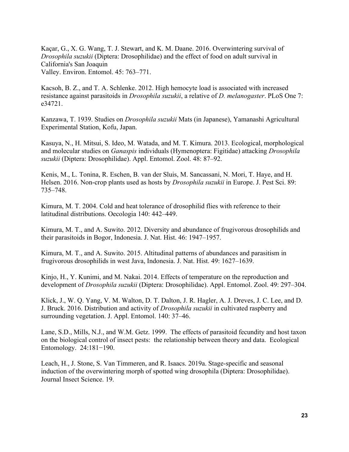Kaçar, G., X. G. Wang, T. J. Stewart, and K. M. Daane. 2016. Overwintering survival of *Drosophila suzukii* (Diptera: Drosophilidae) and the effect of food on adult survival in California's San Joaquin Valley. Environ. Entomol. 45: 763–771.

Kacsoh, B. Z., and T. A. Schlenke. 2012. High hemocyte load is associated with increased resistance against parasitoids in *Drosophila suzukii*, a relative of *D. melanogaster*. PLoS One 7: e34721.

Kanzawa, T. 1939. Studies on *Drosophila suzukii* Mats (in Japanese), Yamanashi Agricultural Experimental Station, Kofu, Japan.

Kasuya, N., H. Mitsui, S. Ideo, M. Watada, and M. T. Kimura. 2013. Ecological, morphological and molecular studies on *Ganaspis* individuals (Hymenoptera: Figitidae) attacking *Drosophila suzukii* (Diptera: Drosophilidae). Appl. Entomol. Zool. 48: 87–92.

Kenis, M., L. Tonina, R. Eschen, B. van der Sluis, M. Sancassani, N. Mori, T. Haye, and H. Helsen. 2016. Non-crop plants used as hosts by *Drosophila suzukii* in Europe. J. Pest Sci. 89: 735–748.

Kimura, M. T. 2004. Cold and heat tolerance of drosophilid flies with reference to their latitudinal distributions. Oecologia 140: 442–449.

Kimura, M. T., and A. Suwito. 2012. Diversity and abundance of frugivorous drosophilids and their parasitoids in Bogor, Indonesia. J. Nat. Hist. 46: 1947–1957.

Kimura, M. T., and A. Suwito. 2015. Altitudinal patterns of abundances and parasitism in frugivorous drosophilids in west Java, Indonesia. J. Nat. Hist. 49: 1627–1639.

Kinjo, H., Y. Kunimi, and M. Nakai. 2014. Effects of temperature on the reproduction and development of *Drosophila suzukii* (Diptera: Drosophilidae). Appl. Entomol. Zool. 49: 297–304.

Klick, J., W. Q. Yang, V. M. Walton, D. T. Dalton, J. R. Hagler, A. J. Dreves, J. C. Lee, and D. J. Bruck. 2016. Distribution and activity of *Drosophila suzukii* in cultivated raspberry and surrounding vegetation. J. Appl. Entomol. 140: 37–46.

Lane, S.D., Mills, N.J., and W.M. Getz. 1999. The effects of parasitoid fecundity and host taxon on the biological control of insect pests: the relationship between theory and data. Ecological Entomology. 24:181−190.

Leach, H., J. Stone, S. Van Timmeren, and R. Isaacs. 2019a. Stage-specific and seasonal induction of the overwintering morph of spotted wing drosophila (Diptera: Drosophilidae). Journal Insect Science. 19.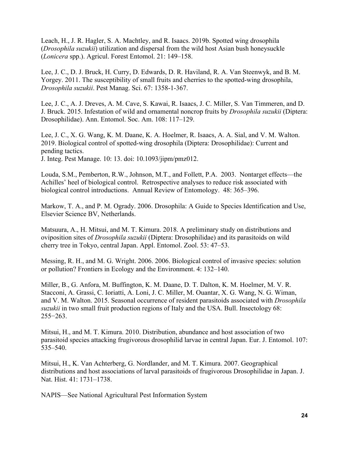Leach, H., J. R. Hagler, S. A. Machtley, and R. Isaacs. 2019b. Spotted wing drosophila (*Drosophila suzukii*) utilization and dispersal from the wild host Asian bush honeysuckle (*Lonicera* spp.). Agricul. Forest Entomol. 21: 149–158.

Lee, J. C., D. J. Bruck, H. Curry, D. Edwards, D. R. Haviland, R. A. Van Steenwyk, and B. M. Yorgey. 2011. The susceptibility of small fruits and cherries to the spotted-wing drosophila, *Drosophila suzukii*. Pest Manag. Sci. 67: 1358-1-367.

Lee, J. C., A. J. Dreves, A. M. Cave, S. Kawai, R. Isaacs, J. C. Miller, S. Van Timmeren, and D. J. Bruck. 2015. Infestation of wild and ornamental noncrop fruits by *Drosophila suzukii* (Diptera: Drosophilidae). Ann. Entomol. Soc. Am. 108: 117–129.

Lee, J. C., X. G. Wang, K. M. Daane, K. A. Hoelmer, R. Isaacs, A. A. Sial, and V. M. Walton. 2019. Biological control of spotted-wing drosophila (Diptera: Drosophilidae): Current and pending tactics.

J. Integ. Pest Manage. 10: 13. doi: 10.1093/jipm/pmz012.

Louda, S.M., Pemberton, R.W., Johnson, M.T., and Follett, P.A. 2003. Nontarget effects—the Achilles' heel of biological control. Retrospective analyses to reduce risk associated with biological control introductions. Annual Review of Entomology. 48: 365–396.

Markow, T. A., and P. M. Ogrady. 2006. Drosophila: A Guide to Species Identification and Use, Elsevier Science BV, Netherlands.

Matsuura, A., H. Mitsui, and M. T. Kimura. 2018. A preliminary study on distributions and oviposition sites of *Drosophila suzukii* (Diptera: Drosophilidae) and its parasitoids on wild cherry tree in Tokyo, central Japan. Appl. Entomol. Zool. 53: 47–53.

Messing, R. H., and M. G. Wright. 2006. 2006. Biological control of invasive species: solution or pollution? Frontiers in Ecology and the Environment. 4: 132–140.

Miller, B., G. Anfora, M. Buffington, K. M. Daane, D. T. Dalton, K. M. Hoelmer, M. V. R. Stacconi, A. Grassi, C. Ioriatti, A. Loni, J. C. Miller, M. Ouantar, X. G. Wang, N. G. Wiman, and V. M. Walton. 2015. Seasonal occurrence of resident parasitoids associated with *Drosophila suzukii* in two small fruit production regions of Italy and the USA. Bull. Insectology 68: 255−263.

Mitsui, H., and M. T. Kimura. 2010. Distribution, abundance and host association of two parasitoid species attacking frugivorous drosophilid larvae in central Japan. Eur. J. Entomol. 107: 535–540.

Mitsui, H., K. Van Achterberg, G. Nordlander, and M. T. Kimura. 2007. Geographical distributions and host associations of larval parasitoids of frugivorous Drosophilidae in Japan. J. Nat. Hist. 41: 1731–1738.

NAPIS—See National Agricultural Pest Information System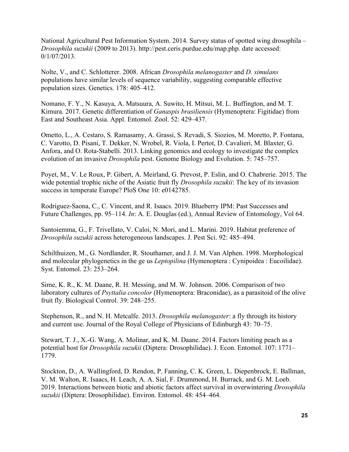National Agricultural Pest Information System. 2014. Survey status of spotted wing drosophila – *Drosophila suzukii* (2009 to 2013). http://pest.ceris.purdue.edu/map.php. date accessed: 0/1/07/2013.

Nolte, V., and C. Schlotterer. 2008. African *Drosophila melanogaster* and *D. simulans*  populations have similar levels of sequence variability, suggesting comparable effective population sizes. Genetics. 178: 405–412.

Nomano, F. Y., N. Kasuya, A. Matsuura, A. Suwito, H. Mitsui, M. L. Buffington, and M. T. Kimura. 2017. Genetic differentiation of *Ganaspis brasiliensis* (Hymenoptera: Figitidae) from East and Southeast Asia. Appl. Entomol. Zool. 52: 429–437.

Ometto, L., A. Cestaro, S. Ramasamy, A. Grassi, S. Revadi, S. Siozios, M. Moretto, P. Fontana, C. Varotto, D. Pisani, T. Dekker, N. Wrobel, R. Viola, I. Pertot, D. Cavalieri, M. Blaxter, G. Anfora, and O. Rota-Stabelli. 2013. Linking genomics and ecology to investigate the complex evolution of an invasive *Drosophila* pest. Genome Biology and Evolution. 5: 745–757.

Poyet, M., V. Le Roux, P. Gibert, A. Meirland, G. Prevost, P. Eslin, and O. Chabrerie. 2015. The wide potential trophic niche of the Asiatic fruit fly *Drosophila suzukii*: The key of its invasion success in temperate Europe? PloS One 10: e0142785.

Rodriguez-Saona, C., C. Vincent, and R. Isaacs. 2019. Blueberry IPM: Past Successes and Future Challenges, pp. 95–114. *In*: A. E. Douglas (ed.), Annual Review of Entomology, Vol 64.

Santoiemma, G., F. Trivellato, V. Caloi, N. Mori, and L. Marini. 2019. Habitat preference of *Drosophila suzukii* across heterogeneous landscapes. J. Pest Sci. 92: 485–494.

Schilthuizen, M., G. Nordlander, R. Stouthamer, and J. J. M. Van Alphen. 1998. Morphological and molecular phylogenetics in the ge us *Leptopilina* (Hymenoptera : Cynipoidea : Eucoilidae). Syst. Entomol. 23: 253–264.

Sime, K. R., K. M. Daane, R. H. Messing, and M. W. Johnson. 2006. Comparison of two laboratory cultures of *Psyttalia concolor* (Hymenoptera: Braconidae), as a parasitoid of the olive fruit fly. Biological Control. 39: 248–255.

Stephenson, R., and N. H. Metcalfe. 2013. *Drosophila melanogaster*: a fly through its history and current use. Journal of the Royal College of Physicians of Edinburgh 43: 70–75.

Stewart, T. J., X.-G. Wang, A. Molinar, and K. M. Daane. 2014. Factors limiting peach as a potential host for *Drosophila suzukii* (Diptera: Drosophilidae). J. Econ. Entomol. 107: 1771– 1779.

Stockton, D., A. Wallingford, D. Rendon, P. Fanning, C. K. Green, L. Diepenbrock, E. Ballman, V. M. Walton, R. Isaacs, H. Leach, A. A. Sial, F. Drummond, H. Burrack, and G. M. Loeb. 2019. Interactions between biotic and abiotic factors affect survival in overwintering *Drosophila suzukii* (Diptera: Drosophilidae). Environ. Entomol. 48: 454–464.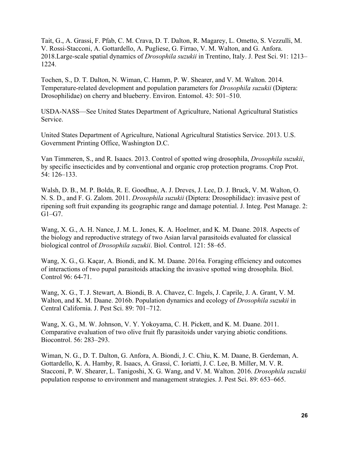Tait, G., A. Grassi, F. Pfab, C. M. Crava, D. T. Dalton, R. Magarey, L. Ometto, S. Vezzulli, M. V. Rossi-Stacconi, A. Gottardello, A. Pugliese, G. Firrao, V. M. Walton, and G. Anfora. 2018.Large-scale spatial dynamics of *Drosophila suzukii* in Trentino, Italy. J. Pest Sci. 91: 1213– 1224.

Tochen, S., D. T. Dalton, N. Wiman, C. Hamm, P. W. Shearer, and V. M. Walton. 2014. Temperature-related development and population parameters for *Drosophila suzukii* (Diptera: Drosophilidae) on cherry and blueberry. Environ. Entomol. 43: 501–510.

USDA-NASS—See United States Department of Agriculture, National Agricultural Statistics Service.

United States Department of Agriculture, National Agricultural Statistics Service. 2013. U.S. Government Printing Office, Washington D.C.

Van Timmeren, S., and R. Isaacs. 2013. Control of spotted wing drosophila, *Drosophila suzukii*, by specific insecticides and by conventional and organic crop protection programs. Crop Prot. 54: 126–133.

Walsh, D. B., M. P. Bolda, R. E. Goodhue, A. J. Dreves, J. Lee, D. J. Bruck, V. M. Walton, O. N. S. D., and F. G. Zalom. 2011. *Drosophila suzukii* (Diptera: Drosophilidae): invasive pest of ripening soft fruit expanding its geographic range and damage potential. J. Integ. Pest Manage. 2: G1–G7.

Wang, X. G., A. H. Nance, J. M. L. Jones, K. A. Hoelmer, and K. M. Daane. 2018. Aspects of the biology and reproductive strategy of two Asian larval parasitoids evaluated for classical biological control of *Drosophila suzukii*. Biol. Control. 121: 58–65.

Wang, X. G., G. Kaçar, A. Biondi, and K. M. Daane. 2016a. Foraging efficiency and outcomes of interactions of two pupal parasitoids attacking the invasive spotted wing drosophila. Biol. Control 96: 64-71.

Wang, X. G., T. J. Stewart, A. Biondi, B. A. Chavez, C. Ingels, J. Caprile, J. A. Grant, V. M. Walton, and K. M. Daane. 2016b. Population dynamics and ecology of *Drosophila suzukii* in Central California. J. Pest Sci. 89: 701–712.

Wang, X. G., M. W. Johnson, V. Y. Yokoyama, C. H. Pickett, and K. M. Daane. 2011. Comparative evaluation of two olive fruit fly parasitoids under varying abiotic conditions. Biocontrol. 56: 283–293.

Wiman, N. G., D. T. Dalton, G. Anfora, A. Biondi, J. C. Chiu, K. M. Daane, B. Gerdeman, A. Gottardello, K. A. Hamby, R. Isaacs, A. Grassi, C. Ioriatti, J. C. Lee, B. Miller, M. V. R. Stacconi, P. W. Shearer, L. Tanigoshi, X. G. Wang, and V. M. Walton. 2016. *Drosophila suzukii* population response to environment and management strategies. J. Pest Sci. 89: 653–665.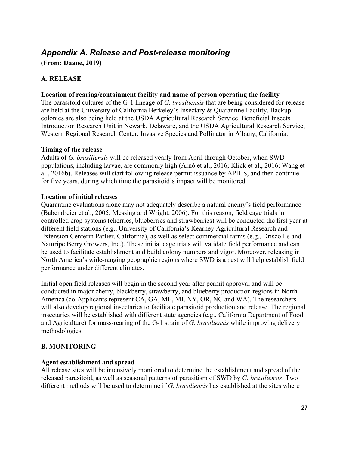### <span id="page-26-0"></span>*Appendix A. Release and Post-release monitoring*

**(From: Daane, 2019)**

### **A. RELEASE**

#### **Location of rearing/containment facility and name of person operating the facility**

The parasitoid cultures of the G-1 lineage of *G. brasiliensis* that are being considered for release are held at the University of California Berkeley's Insectary & Quarantine Facility. Backup colonies are also being held at the USDA Agricultural Research Service, Beneficial Insects Introduction Research Unit in Newark, Delaware, and the USDA Agricultural Research Service, Western Regional Research Center, Invasive Species and Pollinator in Albany, California.

#### **Timing of the release**

Adults of *G. brasiliensis* will be released yearly from April through October, when SWD populations, including larvae, are commonly high (Arnó et al., 2016; Klick et al., 2016; Wang et al., 2016b). Releases will start following release permit issuance by APHIS, and then continue for five years, during which time the parasitoid's impact will be monitored.

#### **Location of initial releases**

Quarantine evaluations alone may not adequately describe a natural enemy's field performance (Babendreier et al., 2005; Messing and Wright, 2006). For this reason, field cage trials in controlled crop systems (cherries, blueberries and strawberries) will be conducted the first year at different field stations (e.g., University of California's Kearney Agricultural Research and Extension Centerin Parlier, California), as well as select commercial farms (e.g., Driscoll's and Naturipe Berry Growers, Inc.). These initial cage trials will validate field performance and can be used to facilitate establishment and build colony numbers and vigor. Moreover, releasing in North America's wide-ranging geographic regions where SWD is a pest will help establish field performance under different climates.

Initial open field releases will begin in the second year after permit approval and will be conducted in major cherry, blackberry, strawberry, and blueberry production regions in North America (co-Applicants represent CA, GA, ME, MI, NY, OR, NC and WA). The researchers will also develop regional insectaries to facilitate parasitoid production and release. The regional insectaries will be established with different state agencies (e.g., California Department of Food and Agriculture) for mass-rearing of the G-1 strain of *G. brasiliensis* while improving delivery methodologies.

### **B. MONITORING**

### **Agent establishment and spread**

All release sites will be intensively monitored to determine the establishment and spread of the released parasitoid, as well as seasonal patterns of parasitism of SWD by *G. brasiliensis*. Two different methods will be used to determine if *G. brasiliensis* has established at the sites where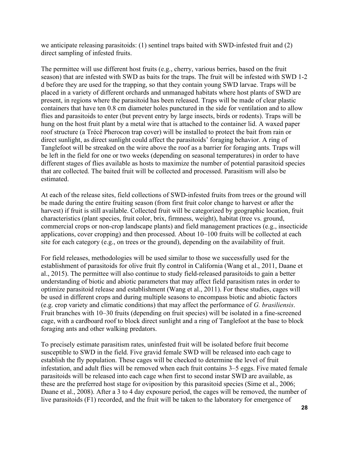we anticipate releasing parasitoids: (1) sentinel traps baited with SWD-infested fruit and (2) direct sampling of infested fruits.

The permittee will use different host fruits (e.g., cherry, various berries, based on the fruit season) that are infested with SWD as baits for the traps. The fruit will be infested with SWD 1-2 d before they are used for the trapping, so that they contain young SWD larvae. Traps will be placed in a variety of different orchards and unmanaged habitats where host plants of SWD are present, in regions where the parasitoid has been released. Traps will be made of clear plastic containers that have ten 0.8 cm diameter holes punctured in the side for ventilation and to allow flies and parasitoids to enter (but prevent entry by large insects, birds or rodents). Traps will be hung on the host fruit plant by a metal wire that is attached to the container lid. A waxed paper roof structure (a Trécé Pherocon trap cover) will be installed to protect the bait from rain or direct sunlight, as direct sunlight could affect the parasitoids' foraging behavior. A ring of Tanglefoot will be streaked on the wire above the roof as a barrier for foraging ants. Traps will be left in the field for one or two weeks (depending on seasonal temperatures) in order to have different stages of flies available as hosts to maximize the number of potential parasitoid species that are collected. The baited fruit will be collected and processed. Parasitism will also be estimated.

At each of the release sites, field collections of SWD-infested fruits from trees or the ground will be made during the entire fruiting season (from first fruit color change to harvest or after the harvest) if fruit is still available. Collected fruit will be categorized by geographic location, fruit characteristics (plant species, fruit color, brix, firmness, weight), habitat (tree vs. ground, commercial crops or non-crop landscape plants) and field management practices (e.g., insecticide applications, cover cropping) and then processed. About 10–100 fruits will be collected at each site for each category (e.g., on trees or the ground), depending on the availability of fruit.

For field releases, methodologies will be used similar to those we successfully used for the establishment of parasitoids for olive fruit fly control in California (Wang et al., 2011, Daane et al., 2015). The permittee will also continue to study field-released parasitoids to gain a better understanding of biotic and abiotic parameters that may affect field parasitism rates in order to optimize parasitoid release and establishment (Wang et al., 2011). For these studies, cages will be used in different crops and during multiple seasons to encompass biotic and abiotic factors (e.g. crop variety and climatic conditions) that may affect the performance of *G. brasiliensis*. Fruit branches with 10–30 fruits (depending on fruit species) will be isolated in a fine-screened cage, with a cardboard roof to block direct sunlight and a ring of Tanglefoot at the base to block foraging ants and other walking predators.

To precisely estimate parasitism rates, uninfested fruit will be isolated before fruit become susceptible to SWD in the field. Five gravid female SWD will be released into each cage to establish the fly population. These cages will be checked to determine the level of fruit infestation, and adult flies will be removed when each fruit contains 3–5 eggs. Five mated female parasitoids will be released into each cage when first to second instar SWD are available, as these are the preferred host stage for oviposition by this parasitoid species (Sime et al., 2006; Daane et al., 2008). After a 3 to 4 day exposure period, the cages will be removed, the number of live parasitoids (F1) recorded, and the fruit will be taken to the laboratory for emergence of